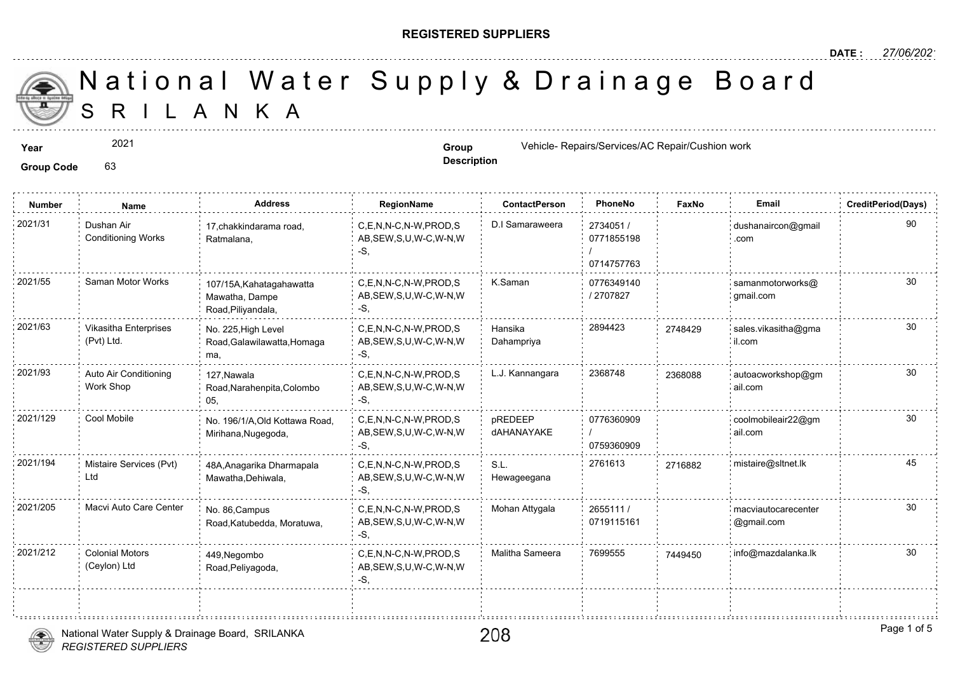#### **REGISTERED SUPPLIERS**

**Description**

A N K A National Water Supply & Drainage

**Year Group Vehicle- Repairs/Services/AC Repair/Cushion works are expected as <b>Group Group Contract Cushion works and Music Cushion works are expairs and the expairs of the expairs of the expansion works are expans** 

**Group Code** 63

2021

**Number Name Address RegionName ContactPerson PhoneNo FaxNo Email CreditPeriod(Days)** 2734051 / 0771855198 / 0714757763 2021/31 Dushan Air 17,chakkindarama road, C,E,N,N-C,N-W,PROD,S D.I Samaraweera 2734051 / AB,SEW,S,U,W-C,W-N,W -S, 17,chakkindarama road, Ratmalana, Dushan Air Conditioning Works 0776349140 / 2707827 2021/55 Saman Motor Works 107/15A,Kahatagahawatta C,E,N,N-C,N-W,PROD,S K.Saman 0776349140 AB,SEW,S,U,W-C,W-N,W -S, 107/15A,Kahatagahawatta Mawatha, Dampe Road,Piliyandala, Hansika 2894423 274842 Dahampriya 2021/63 Vikasitha Enterprises No. 225 High Level C,E,N,N-C,N-W,PROD,S Hansika 2894423 274842 AB,SEW,S,U,W-C,W-N,W -S, No. 225,High Level Road,Galawilawatta,Homaga ma, Vikasitha Enterprises (Pvt) Ltd. 274842 2021/93 Auto Air Conditioning 127 Nawala C,E,N,N-C,N-W,PROD,S L.J. Kannangara 2368748 236808 AB,SEW,S,U,W-C,W-N,W -S, 127,Nawala Road,Narahenpita,Colombo 05, Auto Air Conditioning Work Shop 236808 0776360909 / 0759360909 pREDEEP dAHANAYAKE C,E,N,N-C,N-W,PROD,S AB,SEW,S,U,W-C,W-N,W -S, 2021/129 Cool Mobile No. 196/1/A,Old Kottawa Road, C,E,N,N-C,N-W,PROD,S pREDEEP 0776360909 Mirihana,Nugegoda, S.L. 2761613 271688 Hewageegana C,E,N,N-C,N-W,PROD,S AB,SEW,S,U,W-C,W-N,W -S, 48A,Anagarika Dharmapala 2021/194 2716882 mistaire@sltnet.lk Mawatha,Dehiwala, Mistaire Services (Pvt) Ltd 2655111 / 0719115161 2021/205 Macvi Auto Care Center no. 86,Campus C.E,N,N-C,N-W,PROD,S Mohan Attygala 2655111 / 2005 AB,SEW,S,U,W-C,W-N,W -S, No. 86,Campus Road,Katubedda, Moratuwa, 2021/212 Colonial Motors 449,Negombo C,E,N,N-C,N-W,PROD,S Malitha Sameera 7699555 74494t AB,SEW,S,U,W-C,W-N,W  $-S$ 449,Negombo Road,Peliyagoda, Colonial Motors (Ceylon) Ltd

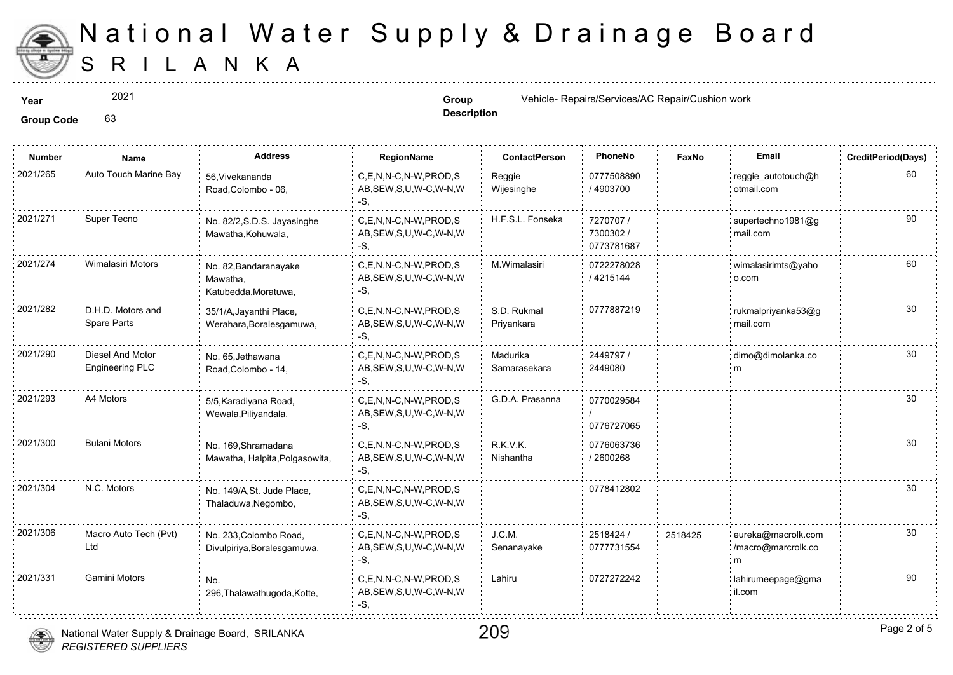

2021

**Description**

209

**Year Group Vehicle- Repairs/Services/AC Repair/Cushion works are expected as <b>Group Group Contract Vehicle- Repairs/Services/AC Repair/C** 

**Group Code** 63

| Number   | Name                                | <b>Address</b>                                            | RegionName                                                | <b>ContactPerson</b>      | PhoneNo                              | Faxl   |
|----------|-------------------------------------|-----------------------------------------------------------|-----------------------------------------------------------|---------------------------|--------------------------------------|--------|
| 2021/265 | Auto Touch Marine Bay               | 56, Vivekananda<br>Road, Colombo - 06,                    | C,E,N,N-C,N-W,PROD,S<br>AB, SEW, S, U, W-C, W-N, W<br>-S, | Reggie<br>Wijesinghe      | 0777508890<br>/ 4903700              |        |
| 2021/271 | Super Tecno                         | No. 82/2, S.D.S. Jayasinghe<br>Mawatha, Kohuwala,         | C,E,N,N-C,N-W,PROD,S<br>AB, SEW, S, U, W-C, W-N, W<br>-S, | H.F.S.L. Fonseka          | 7270707 /<br>7300302 /<br>0773781687 |        |
| 2021/274 | Wimalasiri Motors                   | No. 82, Bandaranayake<br>Mawatha,<br>Katubedda, Moratuwa, | C,E,N,N-C,N-W,PROD,S<br>AB, SEW, S, U, W-C, W-N, W<br>-S, | M.Wimalasiri              | 0722278028<br>/ 4215144              |        |
| 2021/282 | D.H.D. Motors and<br>Spare Parts    | 35/1/A, Jayanthi Place,<br>Werahara, Boralesgamuwa,       | C.E.N.N-C.N-W.PROD.S<br>AB, SEW, S, U, W-C, W-N, W<br>-S. | S.D. Rukmal<br>Priyankara | 0777887219                           |        |
| 2021/290 | Diesel And Motor<br>Engineering PLC | No. 65, Jethawana<br>Road, Colombo - 14,                  | C,E,N,N-C,N-W,PROD,S<br>AB, SEW, S, U, W-C, W-N, W<br>-S. | Madurika<br>Samarasekara  | 2449797 /<br>2449080                 |        |
| 2021/293 | A4 Motors                           | 5/5, Karadiyana Road,<br>Wewala, Piliyandala,             | C,E,N,N-C,N-W,PROD,S<br>AB, SEW, S, U, W-C, W-N, W<br>-S. | G.D.A. Prasanna           | 0770029584<br>0776727065             |        |
| 2021/300 | <b>Bulani Motors</b>                | No. 169, Shramadana<br>Mawatha, Halpita, Polgasowita,     | C,E,N,N-C,N-W,PROD,S<br>AB, SEW, S, U, W-C, W-N, W<br>-S. | R.K.V.K.<br>Nishantha     | 0776063736<br>/2600268               |        |
| 2021/304 | N.C. Motors                         | No. 149/A, St. Jude Place,<br>Thaladuwa, Negombo,         | C,E,N,N-C,N-W,PROD,S<br>AB, SEW, S, U, W-C, W-N, W<br>-S. |                           | 0778412802                           |        |
| 2021/306 | Macro Auto Tech (Pvt)<br>Ltd        | No. 233, Colombo Road,<br>Divulpiriya, Boralesgamuwa,     | C,E,N,N-C,N-W,PROD,S<br>AB, SEW, S, U, W-C, W-N, W<br>-S, | J.C.M.<br>Senanayake      | 2518424 /<br>0777731554              | 251842 |
| 2021/331 | Gamini Motors                       | No.<br>296, Thalawathugoda, Kotte,                        | C,E,N,N-C,N-W,PROD,S<br>AB, SEW, S, U, W-C, W-N, W<br>-S. | Lahiru                    | 0727272242                           |        |

National Water Supply & Drainage Board, SRILANKA

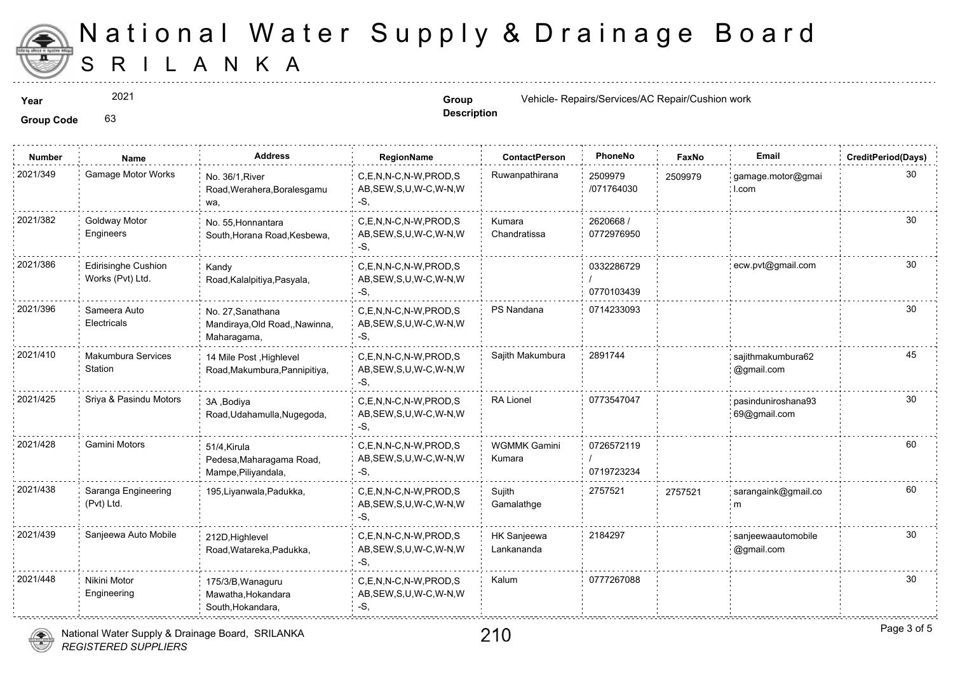

2021

**Description**

**Year Group Vehicle- Repairs/Services/AC Repair/Cushion works are expected as <b>Group Group Contract Vehicle- Repairs/Services/AC Repair/C** 

**Group Code** 63

| <b>Number</b> | Name                                    | <b>Address</b>                                                     | RegionName                                                   | <b>ContactPerson</b>          | PhoneNo                  | Faxl   |
|---------------|-----------------------------------------|--------------------------------------------------------------------|--------------------------------------------------------------|-------------------------------|--------------------------|--------|
| 2021/349      | Gamage Motor Works                      | No. 36/1, River<br>Road, Werahera, Boralesgamu<br>wa,              | C,E,N,N-C,N-W,PROD,S<br>AB, SEW, S, U, W-C, W-N, W<br>-S.    | Ruwanpathirana                | 2509979<br>/071764030    | 250997 |
| 2021/382      | Goldway Motor<br>Engineers              | No. 55. Honnantara<br>South, Horana Road, Kesbewa,                 | C.E.N.N-C.N-W.PROD.S<br>AB, SEW, S, U, W-C, W-N, W<br>-S,    | Kumara<br>Chandratissa        | 2620668 /<br>0772976950  |        |
| 2021/386      | Edirisinghe Cushion<br>Works (Pvt) Ltd. | Kandy<br>Road, Kalalpitiya, Pasyala,                               | C,E,N,N-C,N-W,PROD,S<br>AB, SEW, S, U, W-C, W-N, W<br>-S,    |                               | 0332286729<br>0770103439 |        |
| 2021/396      | Sameera Auto<br>Electricals             | No. 27, Sanathana<br>Mandiraya, Old Road,, Nawinna,<br>Maharagama, | C.E.N.N-C.N-W.PROD.S<br>AB, SEW, S, U, W-C, W-N, W<br>$-S$ , | PS Nandana                    | 0714233093               |        |
| 2021/410      | Makumbura Services<br>Station           | 14 Mile Post, Highlevel<br>Road, Makumbura, Pannipitiya,           | C,E,N,N-C,N-W,PROD,S<br>AB, SEW, S, U, W-C, W-N, W<br>$-S$ . | Sajith Makumbura              | 2891744                  |        |
| 2021/425      | Sriya & Pasindu Motors                  | 3A , Bodiva<br>Road, Udahamulla, Nugegoda,                         | C.E.N.N-C.N-W.PROD.S<br>AB, SEW, S, U, W-C, W-N, W<br>-S.    | <b>RA Lionel</b>              | 0773547047               |        |
| 2021/428      | <b>Gamini Motors</b>                    | 51/4, Kirula<br>Pedesa, Maharagama Road,<br>Mampe, Piliyandala,    | C,E,N,N-C,N-W,PROD,S<br>AB, SEW, S, U, W-C, W-N, W<br>-S.    | <b>WGMMK Gamini</b><br>Kumara | 0726572119<br>0719723234 |        |
| 2021/438      | Saranga Engineering<br>(Pvt) Ltd.       | 195, Liyanwala, Padukka,                                           | C.E.N.N-C.N-W.PROD.S<br>AB, SEW, S, U, W-C, W-N, W<br>-S.    | Sujith<br>Gamalathge          | 2757521                  | 275752 |
| 2021/439      | Sanjeewa Auto Mobile                    | 212D, Highlevel<br>Road, Watareka, Padukka,                        | C,E,N,N-C,N-W,PROD,S<br>AB, SEW, S, U, W-C, W-N, W<br>-S,    | HK Sanjeewa<br>Lankananda     | 2184297                  |        |
| 2021/448      | Nikini Motor<br>Engineering             | 175/3/B, Wanaguru<br>Mawatha, Hokandara<br>South, Hokandara,       | C,E,N,N-C,N-W,PROD,S<br>AB, SEW, S, U, W-C, W-N, W<br>-S.    | Kalum                         | 0777267088               |        |

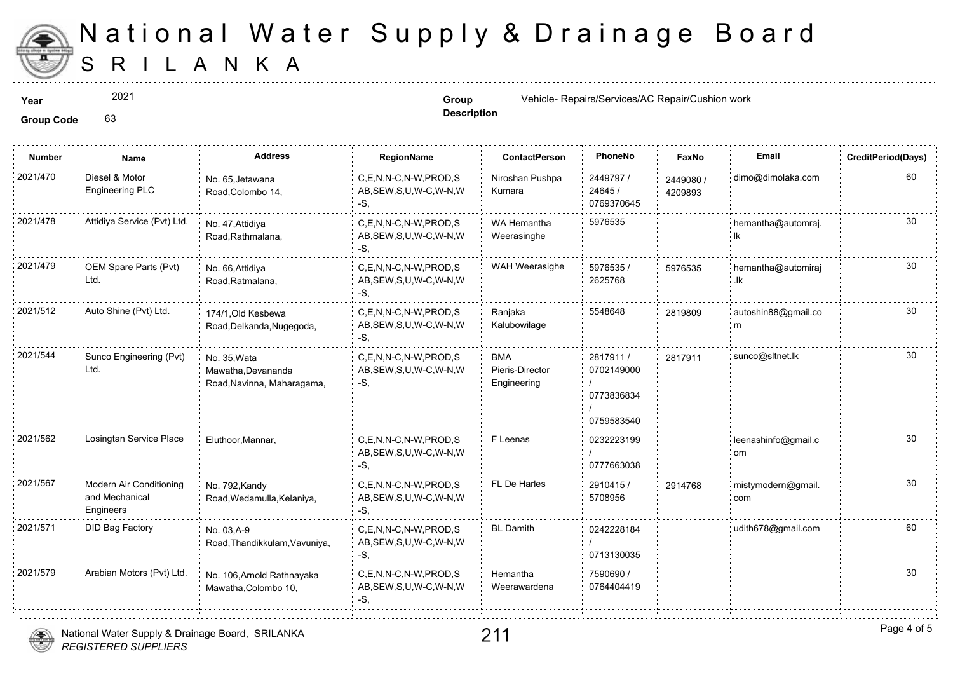

2021

**Description**

**Year Group Vehicle- Repairs/Services/AC Repair/Cushion works are expaired as <b>Group Group Contract Website-** Repairs/Services/AC Repair/Cushion works and the services of the service of the service of the service o

**Group Code** 63

| <b>Number</b> | Name                                                   | <b>Address</b>                                                   | <b>RegionName</b>                                            | <b>ContactPerson</b>                         | PhoneNo                                             | Faxl             |
|---------------|--------------------------------------------------------|------------------------------------------------------------------|--------------------------------------------------------------|----------------------------------------------|-----------------------------------------------------|------------------|
| 2021/470      | Diesel & Motor<br><b>Engineering PLC</b>               | No. 65, Jetawana<br>Road, Colombo 14,                            | C.E.N.N-C.N-W.PROD.S<br>AB, SEW, S, U, W-C, W-N, W<br>-S.    | Niroshan Pushpa<br>Kumara                    | 2449797 /<br>24645 /<br>0769370645                  | 244908<br>420989 |
| 2021/478      | Attidiya Service (Pvt) Ltd.                            | No. 47, Attidiya<br>Road, Rathmalana,                            | C.E.N.N-C.N-W.PROD.S<br>AB, SEW, S, U, W-C, W-N, W<br>$-S$ . | WA Hemantha<br>Weerasinghe                   | 5976535                                             |                  |
| 2021/479      | OEM Spare Parts (Pvt)<br>Ltd.                          | No. 66, Attidiya<br>Road, Ratmalana,                             | C.E.N.N-C.N-W.PROD.S<br>AB, SEW, S, U, W-C, W-N, W<br>$-S$ . | WAH Weerasighe                               | 5976535/<br>2625768                                 | 597653           |
| 2021/512      | Auto Shine (Pvt) Ltd.                                  | 174/1.Old Kesbewa<br>Road, Delkanda, Nugegoda,                   | C.E.N.N-C.N-W.PROD.S<br>AB, SEW, S, U, W-C, W-N, W<br>-S,    | Ranjaka<br>Kalubowilage                      | 5548648                                             | 281980           |
| 2021/544      | Sunco Engineering (Pvt)<br>Ltd.                        | No. 35, Wata<br>Mawatha, Devananda<br>Road, Navinna, Maharagama, | C.E.N.N-C.N-W.PROD.S<br>AB, SEW, S, U, W-C, W-N, W<br>$-S$ , | <b>BMA</b><br>Pieris-Director<br>Engineering | 2817911 /<br>0702149000<br>0773836834<br>0759583540 | 281791           |
| 2021/562      | Losingtan Service Place                                | Eluthoor, Mannar,                                                | C,E,N,N-C,N-W,PROD,S<br>AB, SEW, S, U, W-C, W-N, W<br>-S.    | F Leenas                                     | 0232223199<br>0777663038                            |                  |
| 2021/567      | Modern Air Conditioning<br>and Mechanical<br>Engineers | No. 792, Kandy<br>Road, Wedamulla, Kelaniya,                     | C,E,N,N-C,N-W,PROD,S<br>AB, SEW, S, U, W-C, W-N, W<br>-S,    | FL De Harles                                 | 2910415/<br>5708956                                 | 291476           |
| 2021/571      | DID Bag Factory                                        | No. 03.A-9<br>Road, Thandikkulam, Vavuniya,                      | C.E.N.N-C.N-W.PROD.S<br>AB, SEW, S, U, W-C, W-N, W<br>-S.    | <b>BL</b> Damith                             | 0242228184<br>0713130035                            |                  |
| 2021/579      | Arabian Motors (Pvt) Ltd.                              | No. 106, Arnold Rathnayaka<br>Mawatha, Colombo 10,               | C,E,N,N-C,N-W,PROD,S<br>AB, SEW, S, U, W-C, W-N, W<br>$-S,$  | Hemantha<br>Weerawardena                     | 7590690 /<br>0764404419                             |                  |